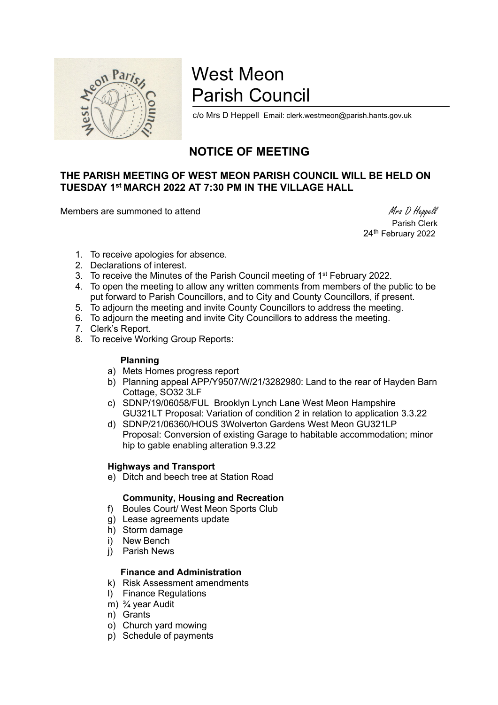

# West Meon Parish Council

c/o Mrs D Heppell Email: clerk.westmeon@parish.hants.gov.uk

## NOTICE OF MEETING

### THE PARISH MEETING OF WEST MEON PARISH COUNCIL WILL BE HELD ON TUESDAY 1st MARCH 2022 AT 7:30 PM IN THE VILLAGE HALL

Members are summoned to attend Members are summoned to attend Members are summoned to attend Members and Members are summoned to attend  $M$ rs D Heppell

 Parish Clerk 24<sup>th</sup> February 2022

- 1. To receive apologies for absence.
- 2. Declarations of interest.
- 3. To receive the Minutes of the Parish Council meeting of 1<sup>st</sup> February 2022.
- 4. To open the meeting to allow any written comments from members of the public to be put forward to Parish Councillors, and to City and County Councillors, if present.
- 5. To adjourn the meeting and invite County Councillors to address the meeting.
- 6. To adjourn the meeting and invite City Councillors to address the meeting.
- 7. Clerk's Report.
- 8. To receive Working Group Reports:

#### Planning

- a) Mets Homes progress report
- b) Planning appeal APP/Y9507/W/21/3282980: Land to the rear of Hayden Barn Cottage, SO32 3LF
- c) SDNP/19/06058/FUL Brooklyn Lynch Lane West Meon Hampshire GU321LT Proposal: Variation of condition 2 in relation to application 3.3.22
- d) SDNP/21/06360/HOUS 3Wolverton Gardens West Meon GU321LP Proposal: Conversion of existing Garage to habitable accommodation; minor hip to gable enabling alteration 9.3.22

#### Highways and Transport

e) Ditch and beech tree at Station Road

#### Community, Housing and Recreation

- f) Boules Court/ West Meon Sports Club
- g) Lease agreements update
- h) Storm damage
- i) New Bench
- j) Parish News

#### Finance and Administration

- k) Risk Assessment amendments
- l) Finance Regulations
- m) ¾ year Audit
- n) Grants
- o) Church yard mowing
- p) Schedule of payments